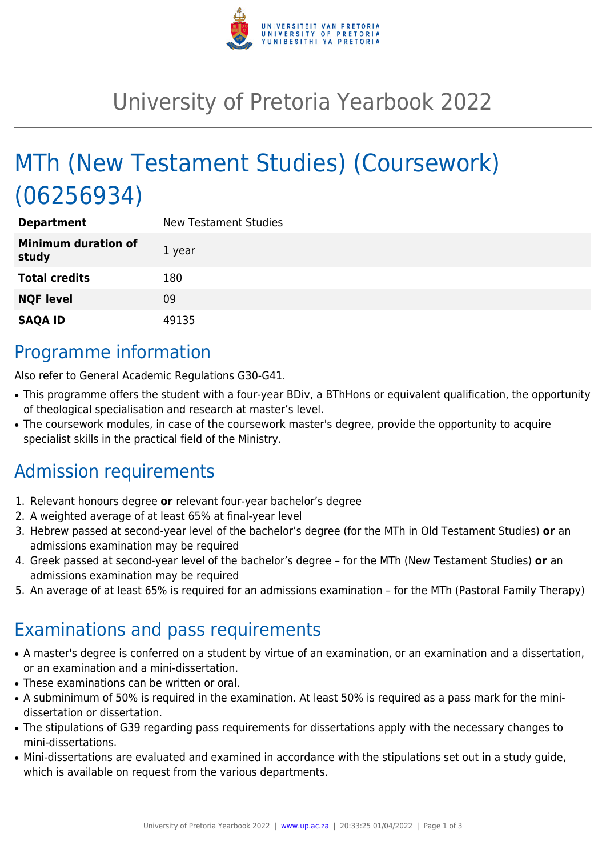

# University of Pretoria Yearbook 2022

# MTh (New Testament Studies) (Coursework) (06256934)

| <b>Department</b>                   | <b>New Testament Studies</b> |
|-------------------------------------|------------------------------|
| <b>Minimum duration of</b><br>study | 1 year                       |
| <b>Total credits</b>                | 180                          |
| <b>NQF level</b>                    | 09                           |
| <b>SAQA ID</b>                      | 49135                        |

## Programme information

Also refer to General Academic Regulations G30-G41.

- This programme offers the student with a four-year BDiv, a BThHons or equivalent qualification, the opportunity of theological specialisation and research at master's level.
- The coursework modules, in case of the coursework master's degree, provide the opportunity to acquire specialist skills in the practical field of the Ministry.

# Admission requirements

- 1. Relevant honours degree **or** relevant four-year bachelor's degree
- 2. A weighted average of at least 65% at final-year level
- 3. Hebrew passed at second-year level of the bachelor's degree (for the MTh in Old Testament Studies) **or** an admissions examination may be required
- 4. Greek passed at second-year level of the bachelor's degree for the MTh (New Testament Studies) **or** an admissions examination may be required
- 5. An average of at least 65% is required for an admissions examination for the MTh (Pastoral Family Therapy)

## Examinations and pass requirements

- A master's degree is conferred on a student by virtue of an examination, or an examination and a dissertation, or an examination and a mini-dissertation.
- These examinations can be written or oral.
- A subminimum of 50% is required in the examination. At least 50% is required as a pass mark for the minidissertation or dissertation.
- The stipulations of G39 regarding pass requirements for dissertations apply with the necessary changes to mini-dissertations.
- Mini-dissertations are evaluated and examined in accordance with the stipulations set out in a study guide, which is available on request from the various departments.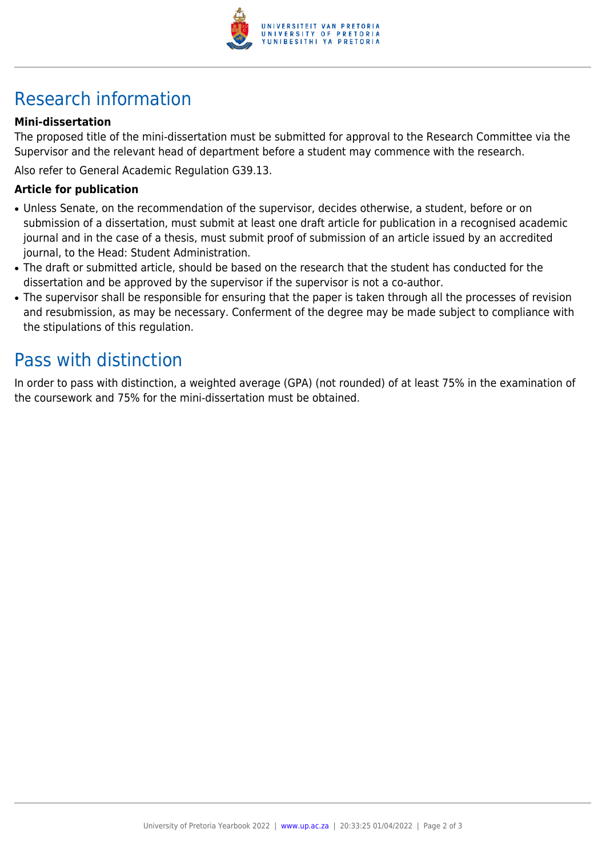

# Research information

#### **Mini-dissertation**

The proposed title of the mini-dissertation must be submitted for approval to the Research Committee via the Supervisor and the relevant head of department before a student may commence with the research.

Also refer to General Academic Regulation G39.13.

#### **Article for publication**

- Unless Senate, on the recommendation of the supervisor, decides otherwise, a student, before or on submission of a dissertation, must submit at least one draft article for publication in a recognised academic journal and in the case of a thesis, must submit proof of submission of an article issued by an accredited journal, to the Head: Student Administration.
- The draft or submitted article, should be based on the research that the student has conducted for the dissertation and be approved by the supervisor if the supervisor is not a co-author.
- The supervisor shall be responsible for ensuring that the paper is taken through all the processes of revision and resubmission, as may be necessary. Conferment of the degree may be made subject to compliance with the stipulations of this regulation.

## Pass with distinction

In order to pass with distinction, a weighted average (GPA) (not rounded) of at least 75% in the examination of the coursework and 75% for the mini-dissertation must be obtained.